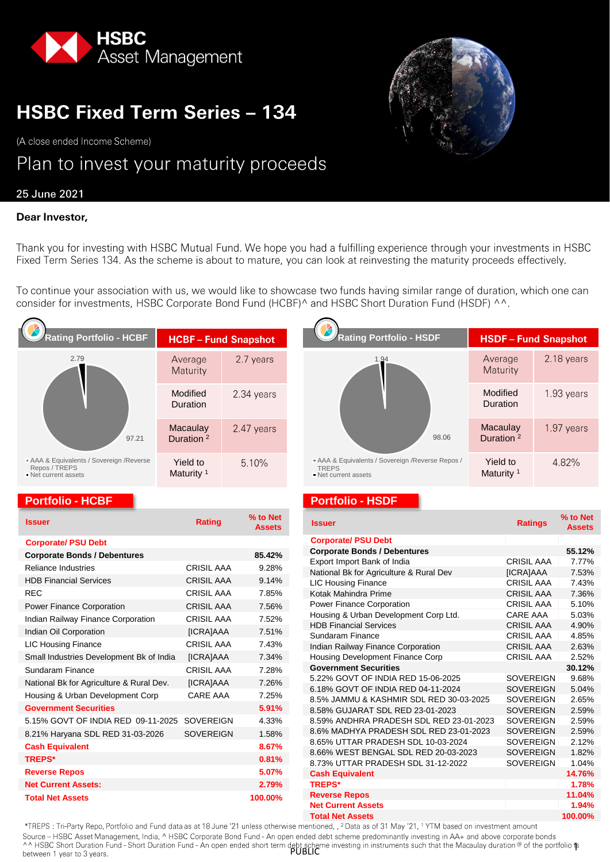

# **HSBC Fixed Term Series - 134**

(A close ended Income Scheme)

# Plan to invest your maturity proceeds

## 25 June 2021

### Dear Investor,

Thank you for investing with HSBC Mutual Fund. We hope you had a fulfilling experience through your investments in HSBC Fixed Term Series 134. As the scheme is about to mature, you can look at reinvesting the maturity proceeds effectively.

To continue your association with us, we would like to showcase two funds having similar range of duration, which one can consider for investments, HSBC Corporate Bond Fund (HCBF)^ and HSBC Short Duration Fund (HSDF) ^^.

| <b>Rating Portfolio - HCBF</b>                                                   | <b>HCBF-Fund Snapshot</b>         |            | Rating Portfolio - HSDF                                                           |  |
|----------------------------------------------------------------------------------|-----------------------------------|------------|-----------------------------------------------------------------------------------|--|
| 2.79<br>97.21                                                                    | Average<br>Maturity               | 2.7 years  | 1.94                                                                              |  |
|                                                                                  | Modified<br>Duration              | 2.34 years |                                                                                   |  |
|                                                                                  | Macaulay<br>Duration <sup>2</sup> | 2.47 years | 98                                                                                |  |
| AAA & Equivalents / Sovereign / Reverse<br>Repos / TREPS<br>• Net current assets | Yield to<br>Maturity <sup>1</sup> | 5.10%      | - AAA & Equivalents / Sovereign / Reverse<br><b>TREPS</b><br>• Net current assets |  |

#### **Portfolio - HCBF Portfolio - HSDF**

| <b>Issuer</b>                            | <b>Rating</b>     | % to Net<br><b>Assets</b> |
|------------------------------------------|-------------------|---------------------------|
| <b>Corporate/ PSU Debt</b>               |                   |                           |
| <b>Corporate Bonds / Debentures</b>      |                   | 85.42%                    |
| Reliance Industries                      | <b>CRISIL AAA</b> | 9.28%                     |
| <b>HDB Financial Services</b>            | <b>CRISIL AAA</b> | 9.14%                     |
| <b>REC</b>                               | <b>CRISIL AAA</b> | 7.85%                     |
| <b>Power Finance Corporation</b>         | <b>CRISIL AAA</b> | 7.56%                     |
| Indian Railway Finance Corporation       | <b>CRISIL AAA</b> | 7.52%                     |
| Indian Oil Corporation                   | [ICRA]AAA         | 7.51%                     |
| <b>LIC Housing Finance</b>               | <b>CRISIL AAA</b> | 7.43%                     |
| Small Industries Development Bk of India | [ICRA]AAA         | 7.34%                     |
| Sundaram Finance                         | CRISII AAA        | 7.28%                     |
| National Bk for Agriculture & Rural Dev. | [ICRA]AAA         | 7.26%                     |
| Housing & Urban Development Corp         | CARF AAA          | 7.25%                     |
| <b>Government Securities</b>             |                   | 5.91%                     |
| 5.15% GOVT OF INDIA RED 09-11-2025       | <b>SOVEREIGN</b>  | 4.33%                     |
| 8.21% Haryana SDL RED 31-03-2026         | <b>SOVEREIGN</b>  | 1.58%                     |
| <b>Cash Equivalent</b>                   |                   | 8.67%                     |
| <b>TREPS*</b>                            |                   | 0.81%                     |
| <b>Reverse Repos</b>                     |                   | 5.07%                     |
| <b>Net Current Assets:</b>               |                   | 2.79%                     |
| <b>Total Net Assets</b>                  |                   | 100.00%                   |

| <b>Rating Portfolio - HSDF</b>                                                            | <b>HSDF-Fund Snapshot</b>         |            |  |  |  |  |
|-------------------------------------------------------------------------------------------|-----------------------------------|------------|--|--|--|--|
| 1.94                                                                                      | Average<br>Maturity               | 2.18 years |  |  |  |  |
|                                                                                           | Modified<br>Duration              | 1.93 years |  |  |  |  |
| 98.06                                                                                     | Macaulay<br>Duration <sup>2</sup> | 1.97 years |  |  |  |  |
| - AAA & Equivalents / Sovereign / Reverse Repos /<br><b>TREPS</b><br>• Net current assets | Yield to<br>Maturity <sup>1</sup> | 4.82%      |  |  |  |  |

| <b>Issuer</b>                           | <b>Ratings</b>    | % to Net<br><b>Assets</b> |
|-----------------------------------------|-------------------|---------------------------|
| <b>Corporate/ PSU Debt</b>              |                   |                           |
| <b>Corporate Bonds / Debentures</b>     |                   | 55.12%                    |
| Export Import Bank of India             | <b>CRISIL AAA</b> | 7.77%                     |
| National Bk for Agriculture & Rural Dev | [ICRA]AAA         | 7.53%                     |
| <b>LIC Housing Finance</b>              | <b>CRISIL AAA</b> | 7.43%                     |
| Kotak Mahindra Prime                    | <b>CRISIL AAA</b> | 7.36%                     |
| Power Finance Corporation               | <b>CRISIL AAA</b> | 5.10%                     |
| Housing & Urban Development Corp Ltd.   | CARE AAA          | 5.03%                     |
| <b>HDB Financial Services</b>           | <b>CRISIL AAA</b> | 4.90%                     |
| Sundaram Finance                        | <b>CRISIL AAA</b> | 4.85%                     |
| Indian Railway Finance Corporation      | <b>CRISIL AAA</b> | 2.63%                     |
| Housing Development Finance Corp        | <b>CRISIL AAA</b> | 2.52%                     |
| <b>Government Securities</b>            |                   | 30.12%                    |
| 5.22% GOVT OF INDIA RED 15-06-2025      | <b>SOVEREIGN</b>  | 9.68%                     |
| 6.18% GOVT OF INDIA RED 04-11-2024      | <b>SOVEREIGN</b>  | 5.04%                     |
| 8.5% JAMMU & KASHMIR SDL RED 30-03-2025 | <b>SOVEREIGN</b>  | 2.65%                     |
| 8.58% GUJARAT SDL RED 23-01-2023        | <b>SOVEREIGN</b>  | 2.59%                     |
| 8.59% ANDHRA PRADESH SDL RED 23-01-2023 | <b>SOVEREIGN</b>  | 2.59%                     |
| 8.6% MADHYA PRADESH SDL RED 23-01-2023  | <b>SOVEREIGN</b>  | 2.59%                     |
| 8.65% UTTAR PRADESH SDL 10-03-2024      | <b>SOVEREIGN</b>  | 2.12%                     |
| 8.66% WEST BENGAL SDL RED 20-03-2023    | <b>SOVEREIGN</b>  | 1.82%                     |
| 8.73% UTTAR PRADESH SDL 31-12-2022      | <b>SOVEREIGN</b>  | 1.04%                     |
| <b>Cash Equivalent</b>                  |                   | 14.76%                    |
| <b>TREPS*</b>                           |                   | 1.78%                     |
| <b>Reverse Repos</b>                    |                   | 11.04%                    |
| <b>Net Current Assets</b>               |                   | 1.94%                     |
| <b>Total Net Assets</b>                 |                   | 100.00%                   |

Source – HSBC Asset Management, India, ^ HSBC Corporate Bond Fund - An open ended debt scheme predominantly investing in AA+ and above corporate bonds<br>^^ HSBC Short Duration Fund - Short Duration Fund - An open ended short between 1 year to 3 years.